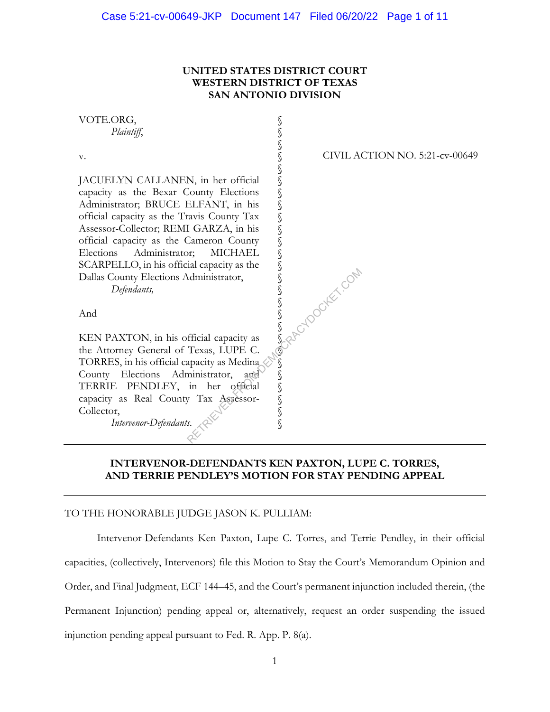## **UNITED STATES DISTRICT COURT WESTERN DISTRICT OF TEXAS SAN ANTONIO DIVISION**



## **INTERVENOR-DEFENDANTS KEN PAXTON, LUPE C. TORRES, AND TERRIE PENDLEY'S MOTION FOR STAY PENDING APPEAL**

#### TO THE HONORABLE JUDGE JASON K. PULLIAM:

 Intervenor-Defendants Ken Paxton, Lupe C. Torres, and Terrie Pendley, in their official capacities, (collectively, Intervenors) file this Motion to Stay the Court's Memorandum Opinion and Order, and Final Judgment, ECF 144–45, and the Court's permanent injunction included therein, (the Permanent Injunction) pending appeal or, alternatively, request an order suspending the issued injunction pending appeal pursuant to Fed. R. App. P. 8(a).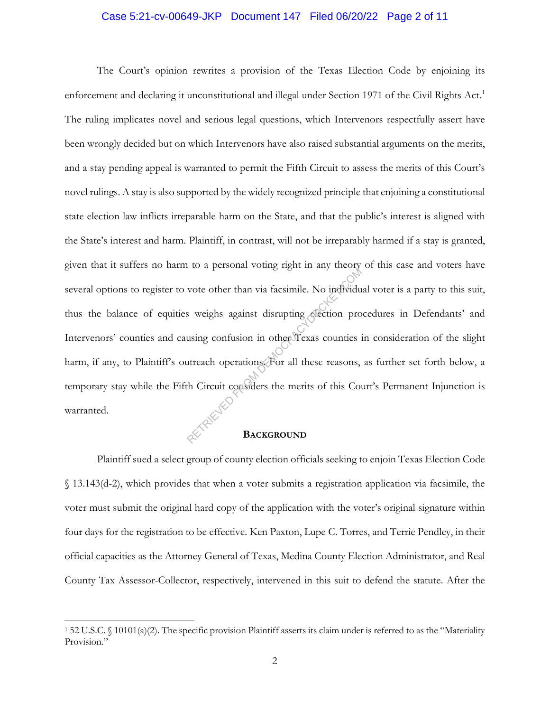#### Case 5:21-cv-00649-JKP Document 147 Filed 06/20/22 Page 2 of 11

The Court's opinion rewrites a provision of the Texas Election Code by enjoining its enforcement and declaring it unconstitutional and illegal under Section 1971 of the Civil Rights Act.<sup>1</sup> The ruling implicates novel and serious legal questions, which Intervenors respectfully assert have been wrongly decided but on which Intervenors have also raised substantial arguments on the merits, and a stay pending appeal is warranted to permit the Fifth Circuit to assess the merits of this Court's novel rulings. A stay is also supported by the widely recognized principle that enjoining a constitutional state election law inflicts irreparable harm on the State, and that the public's interest is aligned with the State's interest and harm. Plaintiff, in contrast, will not be irreparably harmed if a stay is granted, given that it suffers no harm to a personal voting right in any theory of this case and voters have several options to register to vote other than via facsimile. No individual voter is a party to this suit, thus the balance of equities weighs against disrupting election procedures in Defendants' and Intervenors' counties and causing confusion in other Texas counties in consideration of the slight harm, if any, to Plaintiff's outreach operations. For all these reasons, as further set forth below, a temporary stay while the Fifth Circuit considers the merits of this Court's Permanent Injunction is warranted. ret de personal vous de la produit de la personale. No individu<br>se weighs against disrupting election pro<br>using confusion in other Texas counties is<br>utreach operations. For all these reasons,<br>th Circuit considers the merit

#### **BACKGROUND**

Plaintiff sued a select group of county election officials seeking to enjoin Texas Election Code § 13.143(d-2), which provides that when a voter submits a registration application via facsimile, the voter must submit the original hard copy of the application with the voter's original signature within four days for the registration to be effective. Ken Paxton, Lupe C. Torres, and Terrie Pendley, in their official capacities as the Attorney General of Texas, Medina County Election Administrator, and Real County Tax Assessor-Collector, respectively, intervened in this suit to defend the statute. After the

<sup>1</sup> 52 U.S.C. § 10101(a)(2). The specific provision Plaintiff asserts its claim under is referred to as the "Materiality Provision."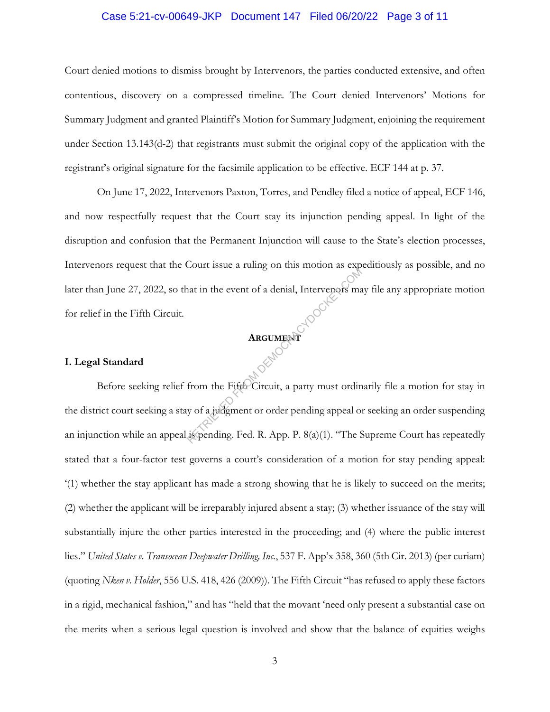#### Case 5:21-cv-00649-JKP Document 147 Filed 06/20/22 Page 3 of 11

Court denied motions to dismiss brought by Intervenors, the parties conducted extensive, and often contentious, discovery on a compressed timeline. The Court denied Intervenors' Motions for Summary Judgment and granted Plaintiff's Motion for Summary Judgment, enjoining the requirement under Section 13.143(d-2) that registrants must submit the original copy of the application with the registrant's original signature for the facsimile application to be effective. ECF 144 at p. 37.

On June 17, 2022, Intervenors Paxton, Torres, and Pendley filed a notice of appeal, ECF 146, and now respectfully request that the Court stay its injunction pending appeal. In light of the disruption and confusion that the Permanent Injunction will cause to the State's election processes, Intervenors request that the Court issue a ruling on this motion as expeditiously as possible, and no later than June 27, 2022, so that in the event of a denial, Intervenors may file any appropriate motion for relief in the Fifth Circuit.

#### **ARGUMENT**

#### **I. Legal Standard**

Before seeking relief from the Fifth Circuit, a party must ordinarily file a motion for stay in the district court seeking a stay of a judgment or order pending appeal or seeking an order suspending an injunction while an appeal is pending. Fed. R. App. P. 8(a)(1). "The Supreme Court has repeatedly stated that a four-factor test governs a court's consideration of a motion for stay pending appeal: '(1) whether the stay applicant has made a strong showing that he is likely to succeed on the merits; (2) whether the applicant will be irreparably injured absent a stay; (3) whether issuance of the stay will substantially injure the other parties interested in the proceeding; and (4) where the public interest lies." *United States v. Transocean Deepwater Drilling, Inc.*, 537 F. App'x 358, 360 (5th Cir. 2013) (per curiam) (quoting *Nken v. Holder*, 556 U.S. 418, 426 (2009)). The Fifth Circuit "has refused to apply these factors in a rigid, mechanical fashion," and has "held that the movant 'need only present a substantial case on the merits when a serious legal question is involved and show that the balance of equities weighs ARGUMENT<br>
REGUMENT<br>
REGUMENT<br>
REGUMENT<br>
REGUMENT<br>
REGUMENT<br>
REGUMENT<br>
REGUMENT<br>
REGUMENT<br>
REGUMENT<br>
SUNCOR<br>
REGUMENT<br>
SUNCOR<br>
REGUMENT<br>
SUNCOR<br>
REGUMENT<br>
SUNCOR<br>
REGUMENT<br>
SUNCOR<br>
REGUMENT<br>
SUNCOR<br>
REGUMENT<br>
SUNCOR<br>
REGUM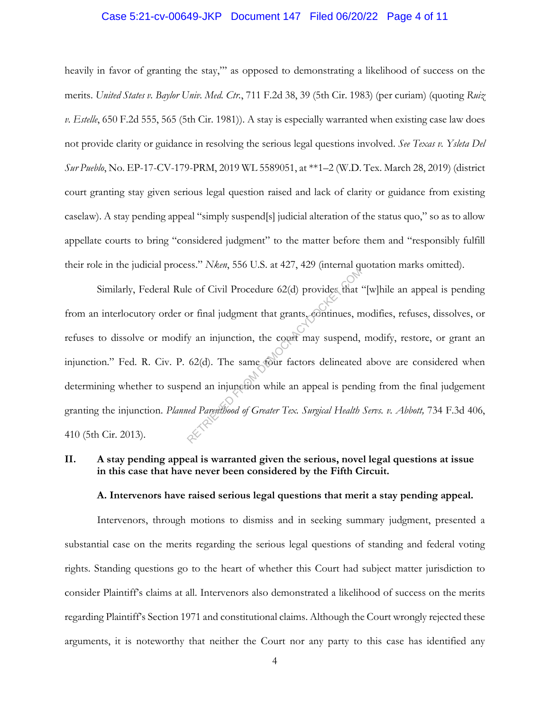#### Case 5:21-cv-00649-JKP Document 147 Filed 06/20/22 Page 4 of 11

heavily in favor of granting the stay,"' as opposed to demonstrating a likelihood of success on the merits. *United States v. Baylor Univ. Med. Ctr.*, 711 F.2d 38, 39 (5th Cir. 1983) (per curiam) (quoting *Ruiz v. Estelle*, 650 F.2d 555, 565 (5th Cir. 1981)). A stay is especially warranted when existing case law does not provide clarity or guidance in resolving the serious legal questions involved. *See Texas v. Ysleta Del Sur Pueblo*, No. EP-17-CV-179-PRM, 2019 WL 5589051, at \*\*1–2 (W.D. Tex. March 28, 2019) (district court granting stay given serious legal question raised and lack of clarity or guidance from existing caselaw). A stay pending appeal "simply suspend[s] judicial alteration of the status quo," so as to allow appellate courts to bring "considered judgment" to the matter before them and "responsibly fulfill their role in the judicial process." *Nken*, 556 U.S. at 427, 429 (internal quotation marks omitted).

Similarly, Federal Rule of Civil Procedure 62(d) provides that "[w]hile an appeal is pending from an interlocutory order or final judgment that grants, continues, modifies, refuses, dissolves, or refuses to dissolve or modify an injunction, the court may suspend, modify, restore, or grant an injunction." Fed. R. Civ. P. 62(d). The same four factors delineated above are considered when determining whether to suspend an injunction while an appeal is pending from the final judgement granting the injunction. *Planned Parenthood of Greater Tex. Surgical Health Servs. v. Abbott,* 734 F.3d 406, 410 (5th Cir. 2013). RETRIEVED FROM DETERMINISTIC CONTRACT (Determined that years) or final judgment that grants, continues, m<br>is an injunction, the court may suspend,<br>62(d). The same tour factors delineated<br>end an injunction while an appeal i

## **II. A stay pending appeal is warranted given the serious, novel legal questions at issue in this case that have never been considered by the Fifth Circuit.**

#### **A. Intervenors have raised serious legal questions that merit a stay pending appeal.**

Intervenors, through motions to dismiss and in seeking summary judgment, presented a substantial case on the merits regarding the serious legal questions of standing and federal voting rights. Standing questions go to the heart of whether this Court had subject matter jurisdiction to consider Plaintiff's claims at all. Intervenors also demonstrated a likelihood of success on the merits regarding Plaintiff's Section 1971 and constitutional claims. Although the Court wrongly rejected these arguments, it is noteworthy that neither the Court nor any party to this case has identified any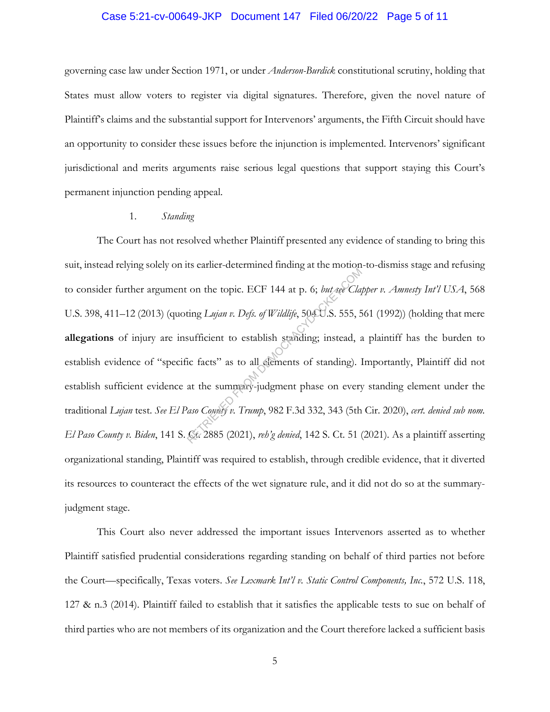#### Case 5:21-cv-00649-JKP Document 147 Filed 06/20/22 Page 5 of 11

governing case law under Section 1971, or under *Anderson-Burdick* constitutional scrutiny, holding that States must allow voters to register via digital signatures. Therefore, given the novel nature of Plaintiff's claims and the substantial support for Intervenors' arguments, the Fifth Circuit should have an opportunity to consider these issues before the injunction is implemented. Intervenors' significant jurisdictional and merits arguments raise serious legal questions that support staying this Court's permanent injunction pending appeal.

#### 1. *Standing*

The Court has not resolved whether Plaintiff presented any evidence of standing to bring this suit, instead relying solely on its earlier-determined finding at the motion-to-dismiss stage and refusing to consider further argument on the topic. ECF 144 at p. 6; *but see Clapper v. Amnesty Int'l USA*, 568 U.S. 398, 411-12 (2013) (quoting *Lujan v. Defs. of Wildlife*, 504U.S. 555, 561 (1992)) (holding that mere **allegations** of injury are insufficient to establish standing; instead, a plaintiff has the burden to establish evidence of "specific facts" as to all elements of standing). Importantly, Plaintiff did not establish sufficient evidence at the summary-judgment phase on every standing element under the traditional *Lujan* test. *See El Paso County v. Trump*, 982 F.3d 332, 343 (5th Cir. 2020), *cert. denied sub nom. El Paso County v. Biden*, 141 S. Ct. 2885 (2021), *reh'g denied*, 142 S. Ct. 51 (2021). As a plaintiff asserting organizational standing, Plaintiff was required to establish, through credible evidence, that it diverted its resources to counteract the effects of the wet signature rule, and it did not do so at the summaryjudgment stage. on the topic. ECF 144 at p. 6; but see Clay<br>ting Lujan v. Defs. of Wildlife, 50400.S. 555, 5<br>sufficient to establish standing; instead, a<br>ic facts" as to all elements of standing). 1<br>at the summary-judgment phase on every<br>

This Court also never addressed the important issues Intervenors asserted as to whether Plaintiff satisfied prudential considerations regarding standing on behalf of third parties not before the Court—specifically, Texas voters. *See Lexmark Int'l v. Static Control Components, Inc.*, 572 U.S. 118, 127 & n.3 (2014). Plaintiff failed to establish that it satisfies the applicable tests to sue on behalf of third parties who are not members of its organization and the Court therefore lacked a sufficient basis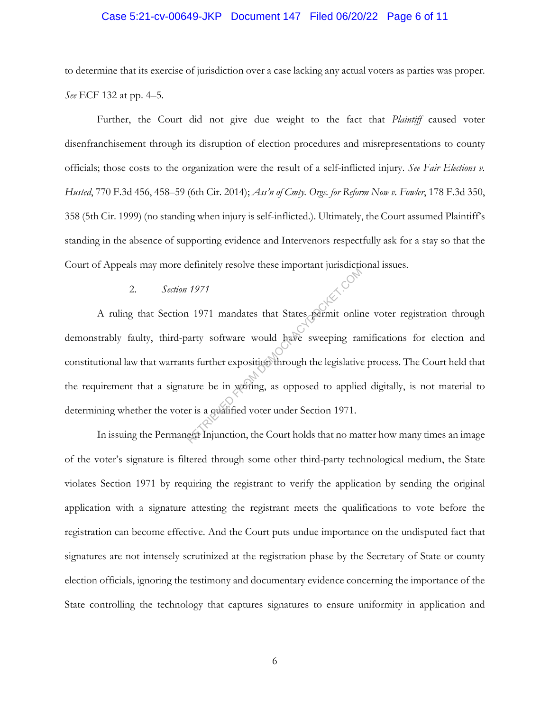#### Case 5:21-cv-00649-JKP Document 147 Filed 06/20/22 Page 6 of 11

to determine that its exercise of jurisdiction over a case lacking any actual voters as parties was proper. *See* ECF 132 at pp. 4–5.

Further, the Court did not give due weight to the fact that *Plaintiff* caused voter disenfranchisement through its disruption of election procedures and misrepresentations to county officials; those costs to the organization were the result of a self-inflicted injury. *See Fair Elections v. Husted*, 770 F.3d 456, 458–59 (6th Cir. 2014); *Ass'n of Cmty. Orgs. for Reform Now v. Fowler*, 178 F.3d 350, 358 (5th Cir. 1999) (no standing when injury is self-inflicted.). Ultimately, the Court assumed Plaintiff's standing in the absence of supporting evidence and Intervenors respectfully ask for a stay so that the Court of Appeals may more definitely resolve these important jurisdictional issues.

#### 2. *Section 1971*

A ruling that Section 1971 mandates that States permit online voter registration through demonstrably faulty, third-party software would have sweeping ramifications for election and constitutional law that warrants further exposition through the legislative process. The Court held that the requirement that a signature be in writing, as opposed to applied digitally, is not material to determining whether the voter is a qualified voter under Section 1971. 1971<br>
1971 mandates that States permit online<br>
harty software would have sweeping rands further exposition through the legislative<br>
ture be in writing, as opposed to applied<br>
ture be in writing, as opposed to applied<br>
the

In issuing the Permanent Injunction, the Court holds that no matter how many times an image of the voter's signature is filtered through some other third-party technological medium, the State violates Section 1971 by requiring the registrant to verify the application by sending the original application with a signature attesting the registrant meets the qualifications to vote before the registration can become effective. And the Court puts undue importance on the undisputed fact that signatures are not intensely scrutinized at the registration phase by the Secretary of State or county election officials, ignoring the testimony and documentary evidence concerning the importance of the State controlling the technology that captures signatures to ensure uniformity in application and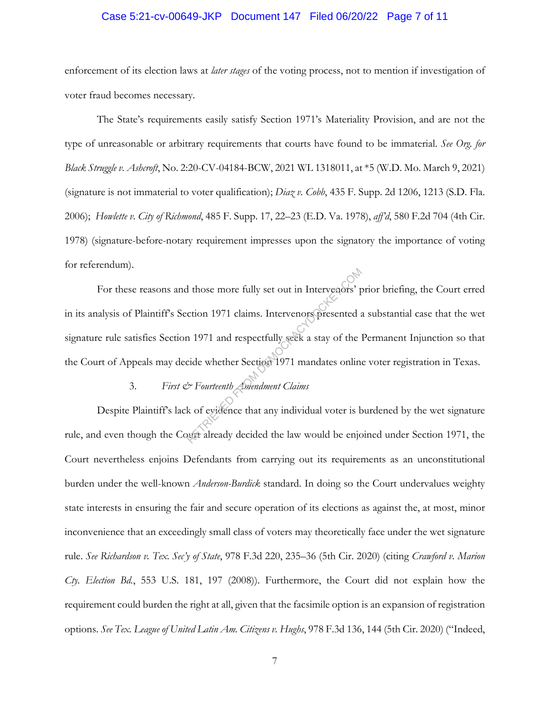#### Case 5:21-cv-00649-JKP Document 147 Filed 06/20/22 Page 7 of 11

enforcement of its election laws at *later stages* of the voting process, not to mention if investigation of voter fraud becomes necessary.

The State's requirements easily satisfy Section 1971's Materiality Provision, and are not the type of unreasonable or arbitrary requirements that courts have found to be immaterial. *See Org. for Black Struggle v. Ashcroft*, No. 2:20-CV-04184-BCW, 2021 WL 1318011, at \*5 (W.D. Mo. March 9, 2021) (signature is not immaterial to voter qualification); *Diaz v. Cobb*, 435 F. Supp. 2d 1206, 1213 (S.D. Fla. 2006); *Howlette v. City of Richmond*, 485 F. Supp. 17, 22–23 (E.D. Va. 1978), *aff'd*, 580 F.2d 704 (4th Cir. 1978) (signature-before-notary requirement impresses upon the signatory the importance of voting for referendum).

For these reasons and those more fully set out in Intervenors' prior briefing, the Court erred in its analysis of Plaintiff's Section 1971 claims. Intervenors presented a substantial case that the wet signature rule satisfies Section 1971 and respectfully seek a stay of the Permanent Injunction so that the Court of Appeals may decide whether Section 1971 mandates online voter registration in Texas. I those more fully set out in Intervenors' processors' process and a memorial of the 1<br>
The Manus Compare of the 1<br>
Retains 1971 mandates online<br>
The Manus Claims<br>
The Manus Claims<br>
A Secret that any individual voter is be

# 3. *First & Fourteenth Amendment Claims*

Despite Plaintiff's lack of evidence that any individual voter is burdened by the wet signature rule, and even though the Court already decided the law would be enjoined under Section 1971, the Court nevertheless enjoins Defendants from carrying out its requirements as an unconstitutional burden under the well-known *Anderson-Burdick* standard. In doing so the Court undervalues weighty state interests in ensuring the fair and secure operation of its elections as against the, at most, minor inconvenience that an exceedingly small class of voters may theoretically face under the wet signature rule. *See Richardson v. Tex. Sec'y of State*, 978 F.3d 220, 235–36 (5th Cir. 2020) (citing *Crawford v. Marion Cty. Election Bd.*, 553 U.S. 181, 197 (2008)). Furthermore, the Court did not explain how the requirement could burden the right at all, given that the facsimile option is an expansion of registration options. *See Tex. League of United Latin Am. Citizens v. Hughs*, 978 F.3d 136, 144 (5th Cir. 2020) ("Indeed,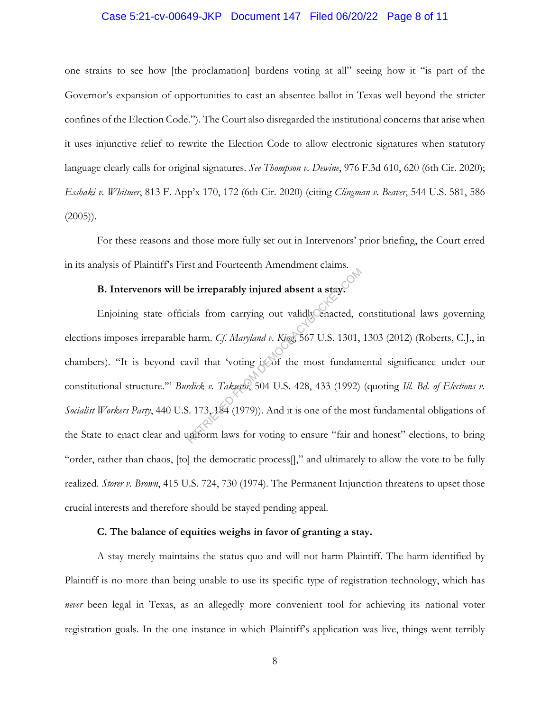#### Case 5:21-cv-00649-JKP Document 147 Filed 06/20/22 Page 8 of 11

one strains to see how [the proclamation] burdens voting at all" seeing how it "is part of the Governor's expansion of opportunities to cast an absentee ballot in Texas well beyond the stricter confines of the Election Code."). The Court also disregarded the institutional concerns that arise when it uses injunctive relief to rewrite the Election Code to allow electronic signatures when statutory language clearly calls for original signatures. *See Thompson v. Dewine*, 976 F.3d 610, 620 (6th Cir. 2020); *Esshaki v. Whitmer*, 813 F. App'x 170, 172 (6th Cir. 2020) (citing *Clingman v. Beaver*, 544 U.S. 581, 586  $(2005)$ ).

For these reasons and those more fully set out in Intervenors' prior briefing, the Court erred in its analysis of Plaintiff's First and Fourteenth Amendment claims.

# **B. Intervenors will be irreparably injured absent a stay.**

Enjoining state officials from carrying out validly enacted, constitutional laws governing elections imposes irreparable harm. *Cf. Maryland v. King*, 567 U.S. 1301, 1303 (2012) (Roberts, C.J., in chambers). "It is beyond cavil that 'voting is of the most fundamental significance under our constitutional structure.'" *Burdick v. Takushi*, 504 U.S. 428, 433 (1992) (quoting *Ill. Bd. of Elections v.*  Socialist Workers Party, 440 U.S. 173, 184 (1979)). And it is one of the most fundamental obligations of the State to enact clear and uniform laws for voting to ensure "fair and honest" elections, to bring "order, rather than chaos, [to] the democratic process[]," and ultimately to allow the vote to be fully realized. *Storer v. Brown*, 415 U.S. 724, 730 (1974). The Permanent Injunction threatens to upset those crucial interests and therefore should be stayed pending appeal. be irreparably injured absent a stay.<br>
ials from carrying out validly enacted, comm. Cf. Maryland v. King, 567 U.S. 1301,<br>
wil that 'voting is of the most fundam<br>
rdick v. Takuski, 504 U.S. 428, 433 (1992)<br>
3. 173, 484 (19

#### **C. The balance of equities weighs in favor of granting a stay.**

A stay merely maintains the status quo and will not harm Plaintiff. The harm identified by Plaintiff is no more than being unable to use its specific type of registration technology, which has *never* been legal in Texas, as an allegedly more convenient tool for achieving its national voter registration goals. In the one instance in which Plaintiff's application was live, things went terribly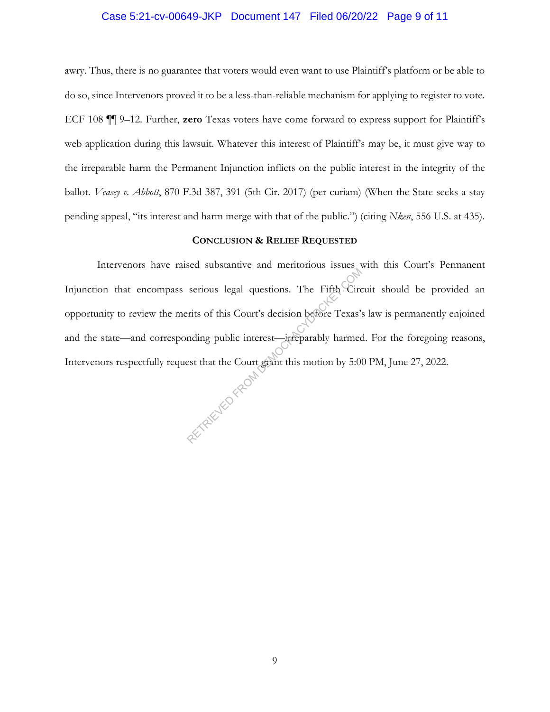#### Case 5:21-cv-00649-JKP Document 147 Filed 06/20/22 Page 9 of 11

awry. Thus, there is no guarantee that voters would even want to use Plaintiff's platform or be able to do so, since Intervenors proved it to be a less-than-reliable mechanism for applying to register to vote. ECF 108 ¶¶ 9–12. Further, **zero** Texas voters have come forward to express support for Plaintiff's web application during this lawsuit. Whatever this interest of Plaintiff's may be, it must give way to the irreparable harm the Permanent Injunction inflicts on the public interest in the integrity of the ballot. *Veasey v. Abbott*, 870 F.3d 387, 391 (5th Cir. 2017) (per curiam) (When the State seeks a stay pending appeal, "its interest and harm merge with that of the public.") (citing *Nken*, 556 U.S. at 435).

#### **CONCLUSION & RELIEF REQUESTED**

Intervenors have raised substantive and meritorious issues with this Court's Permanent Injunction that encompass serious legal questions. The Fifth Circuit should be provided an opportunity to review the merits of this Court's decision before Texas's law is permanently enjoined and the state—and corresponding public interest—irreparably harmed. For the foregoing reasons, Intervenors respectfully request that the Court grant this motion by 5:00 PM, June 27, 2022. ur. RETRIEVED FROM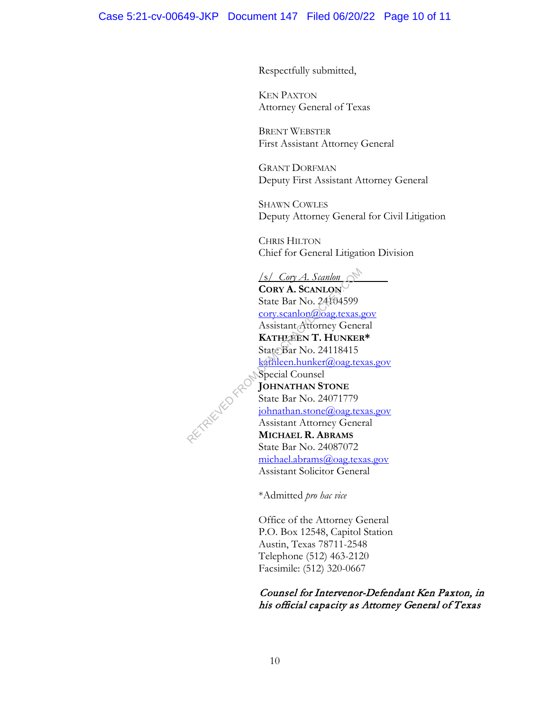Respectfully submitted,

KEN PAXTON Attorney General of Texas

BRENT WEBSTER First Assistant Attorney General

GRANT DORFMAN Deputy First Assistant Attorney General

SHAWN COWLES Deputy Attorney General for Civil Litigation

CHRIS HILTON Chief for General Litigation Division

/s/ *Cory A. Scanlon*  **CORY A. SCANLON** State Bar No. 24104599 cory.scanlon@oag.texas.gov Assistant Attorney General **KATHLEEN T. HUNKER\***  State Bar No. 24118415 kathleen.hunker@oag.texas.gov Special Counsel **JOHNATHAN STONE** State Bar No. 24071779 johnathan.stone@oag.texas.gov Assistant Attorney General **MICHAEL R. ABRAMS** State Bar No. 24087072 michael.abrams@oag.texas.gov Assistant Solicitor General Samlon<br>
CORY A. ScanLON<br>
State Bar No. 24104599<br>
cory.scanlon@oag.texas.<br>
Assistant Attorney Gene<br>
KATHLEEN T. HUNKEF<br>
State Bar No. 24118415<br>
state Bar No. 24118415<br>
Special Counsel<br>
JOHNATHAN STONE<br>
State Bar No. 2407177

\*Admitted *pro hac vice*

Office of the Attorney General P.O. Box 12548, Capitol Station Austin, Texas 78711-2548 Telephone (512) 463-2120 Facsimile: (512) 320-0667

# Counsel for Intervenor-Defendant Ken Paxton, in his official capacity as Attorney General of Texas